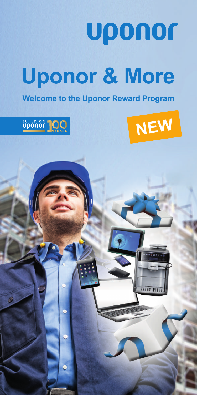

## **Welcome to the Uponor Reward Program**





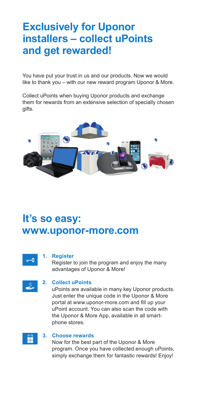## **Exclusively for Uponor installers – collect uPoints and get rewarded!**

You have put your trust in us and our products. Now we would like to thank you – with our new reward program Uponor & More.

Collect uPoints when buying Uponor products and exchange them for rewards from an extensive selection of specially chosen gifts.



## **It's so easy: www.uponor-more.com**



#### **1. Register**

 Register to join the program and enjoy the many advantages of Uponor & More!

#### **2. Collect uPoints**

 uPoints are available in many key Uponor products. Just enter the unique code in the Uponor & More portal at www.uponor-more.com and fill up your uPoint account. You can also scan the code with the Uponor & More App, available in all smartphone stores.



#### **3. Choose rewards**

 Now for the best part of the Uponor & More program. Once you have collected enough uPoints, simply exchange them for fantastic rewards! Enjoy!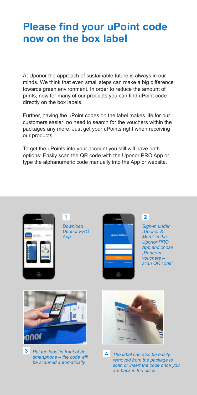## **Please find your uPoint code now on the box label**

At Uponor the approach of sustainable future is always in our minds. We think that even small steps can make a big difference towards green environment. In order to reduce the amount of prints, now for many of our products you can find uPoint code directly on the box labels.

Further, having the uPoint codes on the label makes life for our customers easier: no need to search for the vouchers within the packages any more. Just get your uPoints right when receiving our products.

To get the uPoints into your account you still will have both options: Easily scan the QR code with the Uponor PRO App or type the alphanumeric code manually into the App or website.



**1** *Download Uponor PRO App*



**2**

*Sign-in under "Uponor & More" in the Uponor PRO App and chose "Redeem vouchers – scan QR code"* 



**3** *Put the label in front of de smartphone – the code will be scanned automatically*



**4** *The label can also be easily removed from the package to scan or insert the code once you are back in the office*